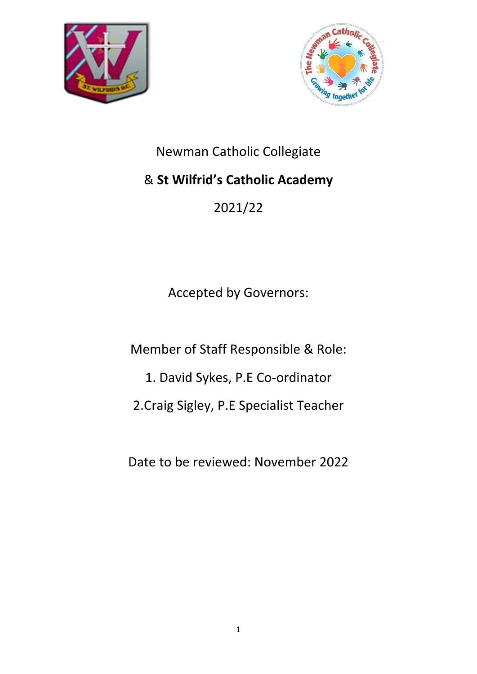



# Newman Catholic Collegiate

# & **St Wilfrid's Catholic Academy**

2021/22

Accepted by Governors:

Member of Staff Responsible & Role:

1. David Sykes, P.E Co-ordinator

2.Craig Sigley, P.E Specialist Teacher

Date to be reviewed: November 2022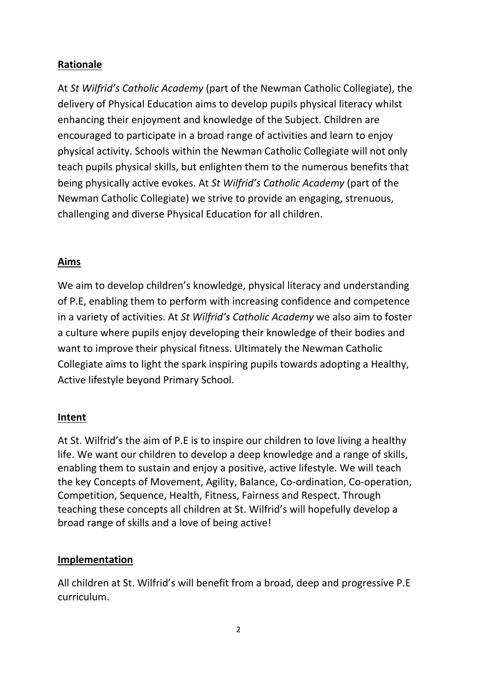# **Rationale**

At *St Wilfrid's Catholic Academy* (part of the Newman Catholic Collegiate), the delivery of Physical Education aims to develop pupils physical literacy whilst enhancing their enjoyment and knowledge of the Subject. Children are encouraged to participate in a broad range of activities and learn to enjoy physical activity. Schools within the Newman Catholic Collegiate will not only teach pupils physical skills, but enlighten them to the numerous benefits that being physically active evokes. At *St Wilfrid's Catholic Academy* (part of the Newman Catholic Collegiate) we strive to provide an engaging, strenuous, challenging and diverse Physical Education for all children.

### **Aims**

We aim to develop children's knowledge, physical literacy and understanding of P.E, enabling them to perform with increasing confidence and competence in a variety of activities. At *St Wilfrid's Catholic Academy* we also aim to foster a culture where pupils enjoy developing their knowledge of their bodies and want to improve their physical fitness. Ultimately the Newman Catholic Collegiate aims to light the spark inspiring pupils towards adopting a Healthy, Active lifestyle beyond Primary School.

# **Intent**

At St. Wilfrid's the aim of P.E is to inspire our children to love living a healthy life. We want our children to develop a deep knowledge and a range of skills, enabling them to sustain and enjoy a positive, active lifestyle. We will teach the key Concepts of Movement, Agility, Balance, Co-ordination, Co-operation, Competition, Sequence, Health, Fitness, Fairness and Respect. Through teaching these concepts all children at St. Wilfrid's will hopefully develop a broad range of skills and a love of being active!

# **Implementation**

All children at St. Wilfrid's will benefit from a broad, deep and progressive P.E curriculum.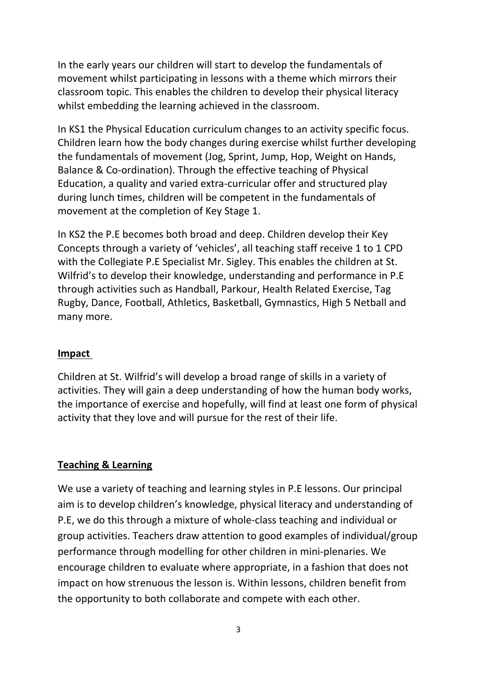In the early years our children will start to develop the fundamentals of movement whilst participating in lessons with a theme which mirrors their classroom topic. This enables the children to develop their physical literacy whilst embedding the learning achieved in the classroom.

In KS1 the Physical Education curriculum changes to an activity specific focus. Children learn how the body changes during exercise whilst further developing the fundamentals of movement (Jog, Sprint, Jump, Hop, Weight on Hands, Balance & Co-ordination). Through the effective teaching of Physical Education, a quality and varied extra-curricular offer and structured play during lunch times, children will be competent in the fundamentals of movement at the completion of Key Stage 1.

In KS2 the P.E becomes both broad and deep. Children develop their Key Concepts through a variety of 'vehicles', all teaching staff receive 1 to 1 CPD with the Collegiate P.E Specialist Mr. Sigley. This enables the children at St. Wilfrid's to develop their knowledge, understanding and performance in P.E through activities such as Handball, Parkour, Health Related Exercise, Tag Rugby, Dance, Football, Athletics, Basketball, Gymnastics, High 5 Netball and many more.

#### **Impact**

Children at St. Wilfrid's will develop a broad range of skills in a variety of activities. They will gain a deep understanding of how the human body works, the importance of exercise and hopefully, will find at least one form of physical activity that they love and will pursue for the rest of their life.

#### **Teaching & Learning**

We use a variety of teaching and learning styles in P.E lessons. Our principal aim is to develop children's knowledge, physical literacy and understanding of P.E, we do this through a mixture of whole-class teaching and individual or group activities. Teachers draw attention to good examples of individual/group performance through modelling for other children in mini-plenaries. We encourage children to evaluate where appropriate, in a fashion that does not impact on how strenuous the lesson is. Within lessons, children benefit from the opportunity to both collaborate and compete with each other.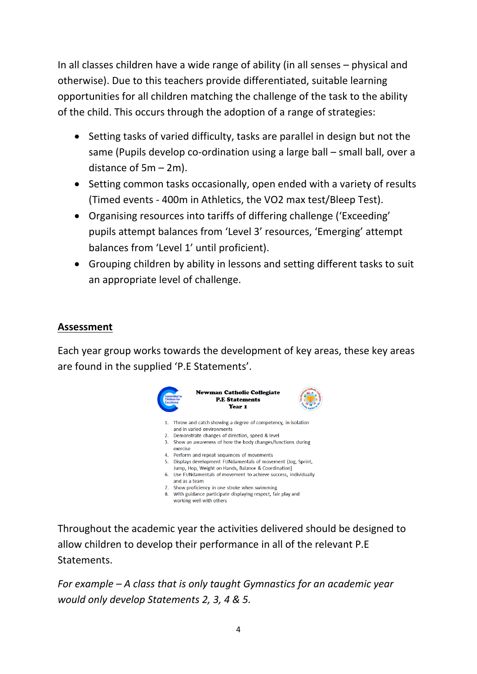In all classes children have a wide range of ability (in all senses – physical and otherwise). Due to this teachers provide differentiated, suitable learning opportunities for all children matching the challenge of the task to the ability of the child. This occurs through the adoption of a range of strategies:

- Setting tasks of varied difficulty, tasks are parallel in design but not the same (Pupils develop co-ordination using a large ball – small ball, over a distance of 5m – 2m).
- Setting common tasks occasionally, open ended with a variety of results (Timed events - 400m in Athletics, the VO2 max test/Bleep Test).
- Organising resources into tariffs of differing challenge ('Exceeding' pupils attempt balances from 'Level 3' resources, 'Emerging' attempt balances from 'Level 1' until proficient).
- Grouping children by ability in lessons and setting different tasks to suit an appropriate level of challenge.

# **Assessment**

Each year group works towards the development of key areas, these key areas are found in the supplied 'P.E Statements'.



Throughout the academic year the activities delivered should be designed to allow children to develop their performance in all of the relevant P.E Statements.

*For example – A class that is only taught Gymnastics for an academic year would only develop Statements 2, 3, 4 & 5.*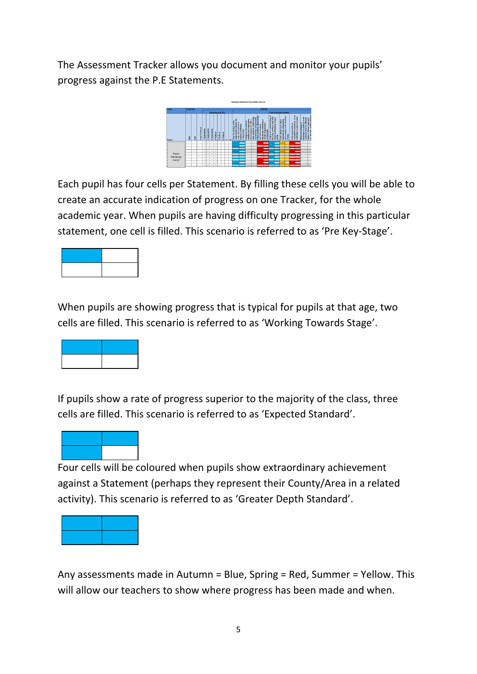The Assessment Tracker allows you document and monitor your pupils' progress against the P.E Statements.



Each pupil has four cells per Statement. By filling these cells you will be able to create an accurate indication of progress on one Tracker, for the whole academic year. When pupils are having difficulty progressing in this particular statement, one cell is filled. This scenario is referred to as 'Pre Key-Stage'.



When pupils are showing progress that is typical for pupils at that age, two cells are filled. This scenario is referred to as 'Working Towards Stage'.



If pupils show a rate of progress superior to the majority of the class, three cells are filled. This scenario is referred to as 'Expected Standard'.



Four cells will be coloured when pupils show extraordinary achievement against a Statement (perhaps they represent their County/Area in a related activity). This scenario is referred to as 'Greater Depth Standard'.

| $\mathcal{L}^{\text{max}}_{\text{max}}$ and $\mathcal{L}^{\text{max}}_{\text{max}}$ and $\mathcal{L}^{\text{max}}_{\text{max}}$ |  |
|---------------------------------------------------------------------------------------------------------------------------------|--|
|                                                                                                                                 |  |
|                                                                                                                                 |  |
|                                                                                                                                 |  |
|                                                                                                                                 |  |

Any assessments made in Autumn = Blue, Spring = Red, Summer = Yellow. This will allow our teachers to show where progress has been made and when.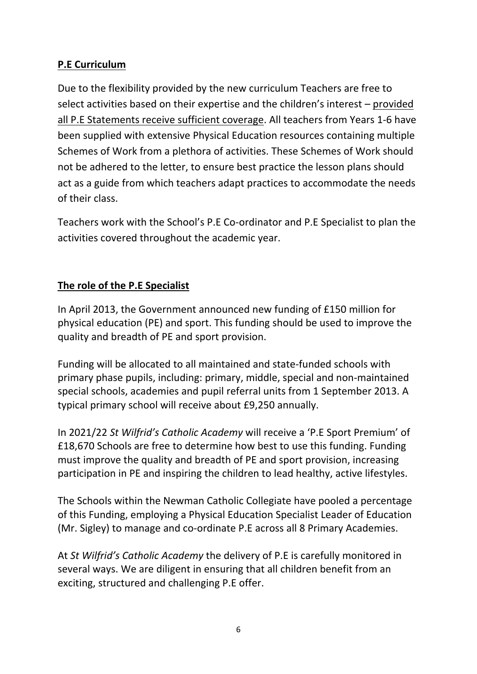# **P.E Curriculum**

Due to the flexibility provided by the new curriculum Teachers are free to select activities based on their expertise and the children's interest – provided all P.E Statements receive sufficient coverage. All teachers from Years 1-6 have been supplied with extensive Physical Education resources containing multiple Schemes of Work from a plethora of activities. These Schemes of Work should not be adhered to the letter, to ensure best practice the lesson plans should act as a guide from which teachers adapt practices to accommodate the needs of their class.

Teachers work with the School's P.E Co-ordinator and P.E Specialist to plan the activities covered throughout the academic year.

# **The role of the P.E Specialist**

In April 2013, the Government announced new funding of £150 million for physical education (PE) and sport. This funding should be used to improve the quality and breadth of PE and sport provision.

Funding will be allocated to all maintained and state-funded schools with primary phase pupils, including: primary, middle, special and non-maintained special schools, academies and pupil referral units from 1 September 2013. A typical primary school will receive about £9,250 annually.

In 2021/22 *St Wilfrid's Catholic Academy* will receive a 'P.E Sport Premium' of £18,670 Schools are free to determine how best to use this funding. Funding must improve the quality and breadth of PE and sport provision, increasing participation in PE and inspiring the children to lead healthy, active lifestyles.

The Schools within the Newman Catholic Collegiate have pooled a percentage of this Funding, employing a Physical Education Specialist Leader of Education (Mr. Sigley) to manage and co-ordinate P.E across all 8 Primary Academies.

At *St Wilfrid's Catholic Academy* the delivery of P.E is carefully monitored in several ways. We are diligent in ensuring that all children benefit from an exciting, structured and challenging P.E offer.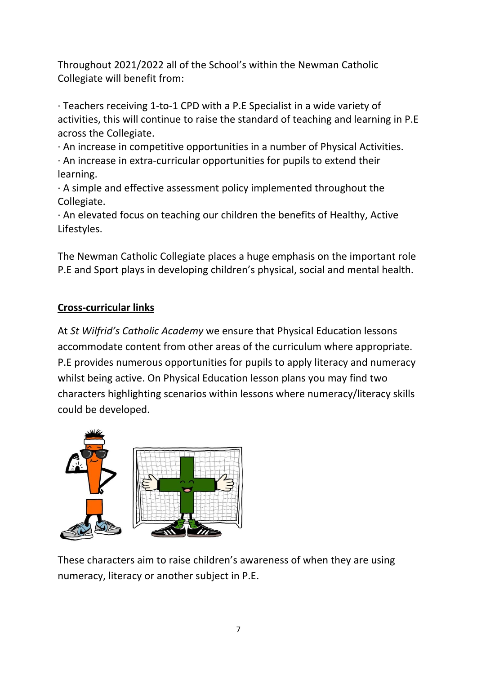Throughout 2021/2022 all of the School's within the Newman Catholic Collegiate will benefit from:

· Teachers receiving 1-to-1 CPD with a P.E Specialist in a wide variety of activities, this will continue to raise the standard of teaching and learning in P.E across the Collegiate.

· An increase in competitive opportunities in a number of Physical Activities.

· An increase in extra-curricular opportunities for pupils to extend their learning.

 $\cdot$  A simple and effective assessment policy implemented throughout the Collegiate.

· An elevated focus on teaching our children the benefits of Healthy, Active Lifestyles.

The Newman Catholic Collegiate places a huge emphasis on the important role P.E and Sport plays in developing children's physical, social and mental health.

# **Cross-curricular links**

At *St Wilfrid's Catholic Academy* we ensure that Physical Education lessons accommodate content from other areas of the curriculum where appropriate. P.E provides numerous opportunities for pupils to apply literacy and numeracy whilst being active. On Physical Education lesson plans you may find two characters highlighting scenarios within lessons where numeracy/literacy skills could be developed.



These characters aim to raise children's awareness of when they are using numeracy, literacy or another subject in P.E.